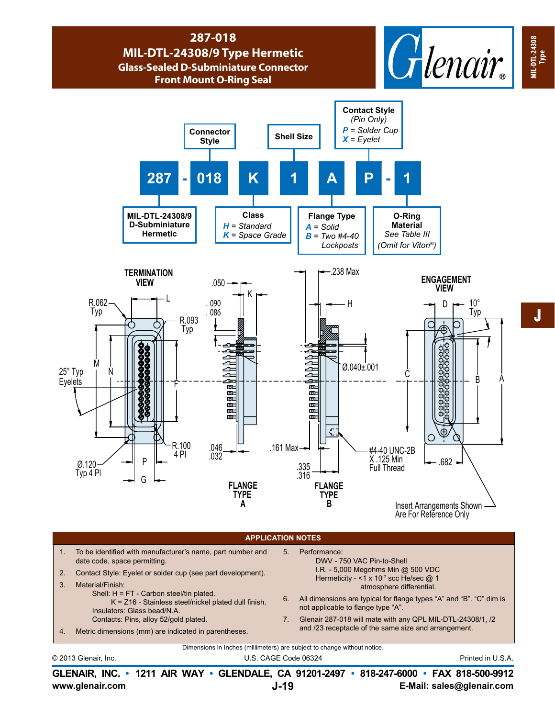

## **APPLICATION NOTES**

- 1. To be identified with manufacturer's name, part number and date code, space permitting.
- 2. Contact Style: Eyelet or solder cup (see part development).
- 3. Material/Finish:
	- Shell: H = FT Carbon steel/tin plated. K = Z16 - Stainless steel/nickel plated dull finish.
		- Insulators: Glass bead/N.A.
	- Contacts: Pins, alloy 52/gold plated.
- 4. Metric dimensions (mm) are indicated in parentheses.
- 5. Performance: DWV - 750 VAC Pin-to-Shell I.R. - 5,000 Megohms Min @ 500 VDC Hermeticity -  $<$ 1 x 10<sup>-7</sup> scc He/sec @ 1 atmosphere differential.
- 6. All dimensions are typical for flange types "A" and "B". "C" dim is not applicable to flange type "A".
- 7. Glenair 287-018 will mate with any QPL MIL-DTL-24308/1, /2 and /23 receptacle of the same size and arrangement.

Dimensions in Inches (millimeters) are subject to change without notice.

© 2013 Glenair, Inc. U.S. CAGE Code 06324 Printed in U.S.A.

**www.glenair.com E-Mail: sales@glenair.com GLENAIR, INC. • 1211 AIR WAY • GLENDALE, CA 91201-2497 • 818-247-6000 • FAX 818-500-9912 J-19**

**MIL-DTL-24308**

**MIL-DTL-24308** MIL-DTL-24308<br>Type